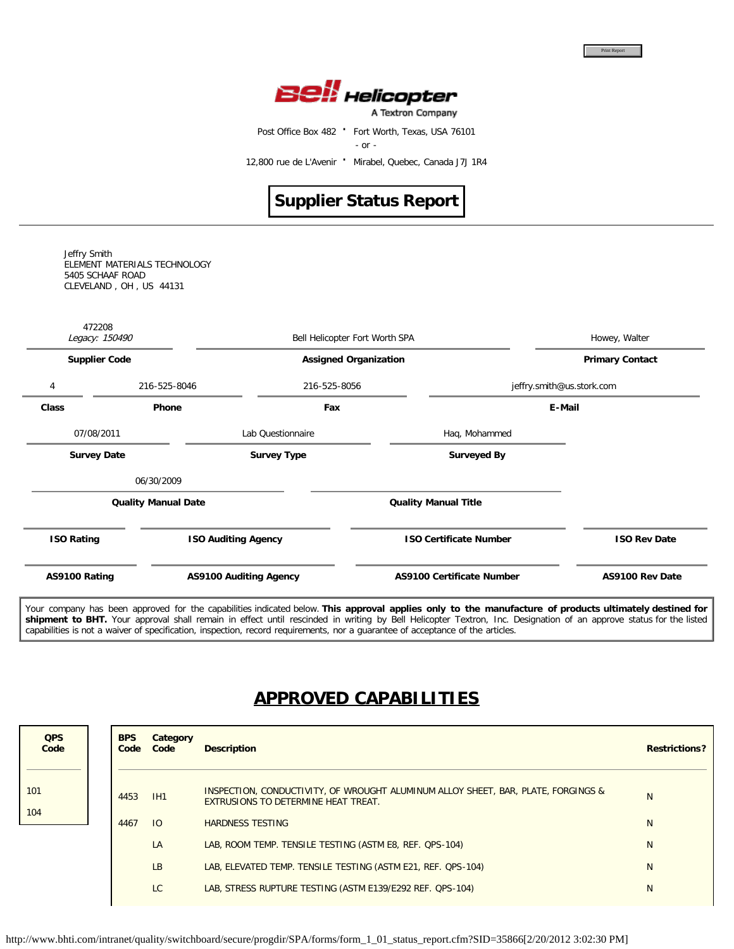

A Textron Company

Post Office Box 482 · Fort Worth, Texas, USA 76101 - or -

12,800 rue de L'Avenir · Mirabel, Quebec, Canada J7J 1R4

## **Supplier Status Report**

Jeffry Smith ELEMENT MATERIALS TECHNOLOGY 5405 SCHAAF ROAD CLEVELAND , OH , US 44131

| 472208<br>Legacy: 150490 |                            | Bell Helicopter Fort Worth SPA |                                  | Howey, Walter             |
|--------------------------|----------------------------|--------------------------------|----------------------------------|---------------------------|
| <b>Supplier Code</b>     |                            | <b>Assigned Organization</b>   |                                  | <b>Primary Contact</b>    |
| 4                        | 216-525-8046               | 216-525-8056                   |                                  | jeffry.smith@us.stork.com |
| <b>Class</b>             | <b>Phone</b>               | Fax                            |                                  | E-Mail                    |
| 07/08/2011               |                            | Lab Questionnaire              | Haq, Mohammed                    |                           |
| <b>Survey Date</b>       |                            | <b>Survey Type</b>             | <b>Surveyed By</b>               |                           |
|                          | 06/30/2009                 |                                |                                  |                           |
|                          | <b>Quality Manual Date</b> |                                | <b>Quality Manual Title</b>      |                           |
| <b>ISO Rating</b>        |                            | <b>ISO Auditing Agency</b>     | <b>ISO Certificate Number</b>    | <b>ISO Rev Date</b>       |
| AS9100 Rating            |                            | <b>AS9100 Auditing Agency</b>  | <b>AS9100 Certificate Number</b> | AS9100 Rev Date           |

s been approved for the capabilities indicated below. **This approval applies only to the manufacture of products ultimately destined for** shipment to BHT. Your approval shall remain in effect until rescinded in writing by Bell Helicopter Textron, Inc. Designation of an approve status for the listed capabilities is not a waiver of specification, inspection, record requirements, nor a guarantee of acceptance of the articles.

## **APPROVED CAPABILITIES**

| <b>QPS</b><br>Code | <b>BPS</b><br>Code | Category<br>Code | <b>Description</b>                                                                                                       | <b>Restrictions?</b> |
|--------------------|--------------------|------------------|--------------------------------------------------------------------------------------------------------------------------|----------------------|
| 101<br>104         | 4453               | <b>IH1</b>       | INSPECTION, CONDUCTIVITY, OF WROUGHT ALUMINUM ALLOY SHEET, BAR, PLATE, FORGINGS &<br>EXTRUSIONS TO DETERMINE HEAT TREAT. | N                    |
|                    | 4467               | 10               | <b>HARDNESS TESTING</b>                                                                                                  | N                    |
|                    |                    | LA               | LAB, ROOM TEMP. TENSILE TESTING (ASTM E8, REF. QPS-104)                                                                  | N                    |
|                    |                    | <b>LB</b>        | LAB, ELEVATED TEMP. TENSILE TESTING (ASTM E21, REF. QPS-104)                                                             | N                    |
|                    |                    | LC.              | LAB, STRESS RUPTURE TESTING (ASTM E139/E292 REF. QPS-104)                                                                | N                    |
|                    |                    |                  |                                                                                                                          |                      |